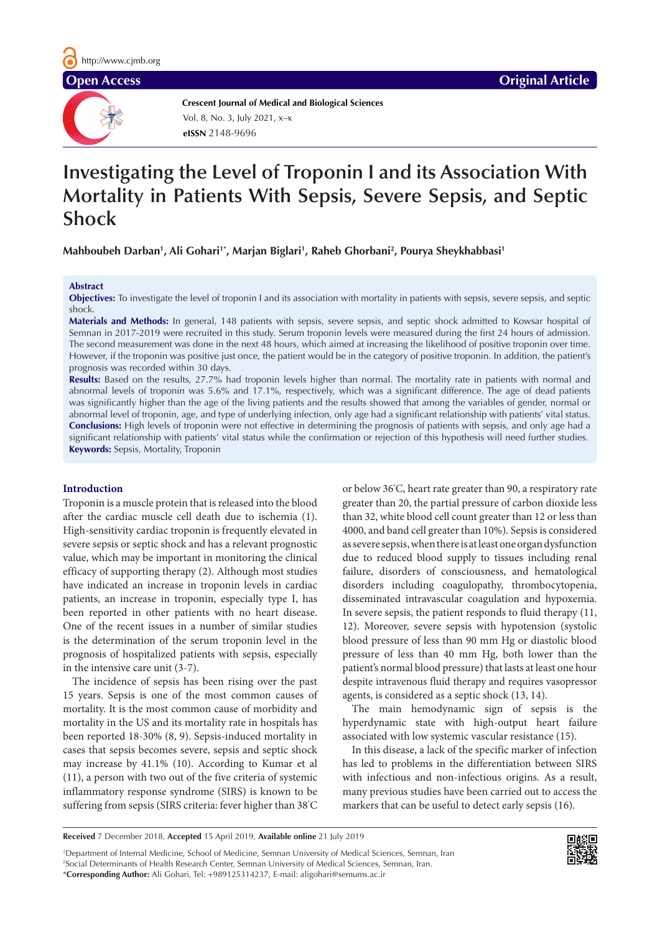**Crescent Journal of Medical and Biological Sciences eISSN** 2148-9696 Vol. 8, No. 3, July 2021, x–x

# **Investigating the Level of Troponin I and its Association With Mortality in Patients With Sepsis, Severe Sepsis, and Septic Shock**

**Mahboubeh Darban1 , Ali Gohari1\*, Marjan Biglari1 , Raheb Ghorbani2 , Pourya Sheykhabbasi1**

#### **Abstract**

**Objectives:** To investigate the level of troponin I and its association with mortality in patients with sepsis, severe sepsis, and septic shock.

**Materials and Methods:** In general, 148 patients with sepsis, severe sepsis, and septic shock admitted to Kowsar hospital of Semnan in 2017-2019 were recruited in this study. Serum troponin levels were measured during the first 24 hours of admission. The second measurement was done in the next 48 hours, which aimed at increasing the likelihood of positive troponin over time. However, if the troponin was positive just once, the patient would be in the category of positive troponin. In addition, the patient's prognosis was recorded within 30 days.

**Results:** Based on the results, 27.7% had troponin levels higher than normal. The mortality rate in patients with normal and abnormal levels of troponin was 5.6% and 17.1%, respectively, which was a significant difference. The age of dead patients was significantly higher than the age of the living patients and the results showed that among the variables of gender, normal or abnormal level of troponin, age, and type of underlying infection, only age had a significant relationship with patients' vital status. **Conclusions:** High levels of troponin were not effective in determining the prognosis of patients with sepsis, and only age had a significant relationship with patients' vital status while the confirmation or rejection of this hypothesis will need further studies. **Keywords:** Sepsis, Mortality, Troponin

### **Introduction**

Troponin is a muscle protein that is released into the blood after the cardiac muscle cell death due to ischemia (1). High-sensitivity cardiac troponin is frequently elevated in severe sepsis or septic shock and has a relevant prognostic value, which may be important in monitoring the clinical efficacy of supporting therapy (2). Although most studies have indicated an increase in troponin levels in cardiac patients, an increase in troponin, especially type I, has been reported in other patients with no heart disease. One of the recent issues in a number of similar studies is the determination of the serum troponin level in the prognosis of hospitalized patients with sepsis, especially in the intensive care unit (3-7).

The incidence of sepsis has been rising over the past 15 years. Sepsis is one of the most common causes of mortality. It is the most common cause of morbidity and mortality in the US and its mortality rate in hospitals has been reported 18-30% (8, 9). Sepsis-induced mortality in cases that sepsis becomes severe, sepsis and septic shock may increase by 41.1% (10). According to Kumar et al (11), a person with two out of the five criteria of systemic inflammatory response syndrome (SIRS) is known to be suffering from sepsis (SIRS criteria: fever higher than 38° C or below 36° C, heart rate greater than 90, a respiratory rate greater than 20, the partial pressure of carbon dioxide less than 32, white blood cell count greater than 12 or less than 4000, and band cell greater than 10%). Sepsis is considered as severe sepsis, when there is at least one organ dysfunction due to reduced blood supply to tissues including renal failure, disorders of consciousness, and hematological disorders including coagulopathy, thrombocytopenia, disseminated intravascular coagulation and hypoxemia. In severe sepsis, the patient responds to fluid therapy (11, 12). Moreover, severe sepsis with hypotension (systolic blood pressure of less than 90 mm Hg or diastolic blood pressure of less than 40 mm Hg, both lower than the patient's normal blood pressure) that lasts at least one hour despite intravenous fluid therapy and requires vasopressor agents, is considered as a septic shock (13, 14).

The main hemodynamic sign of sepsis is the hyperdynamic state with high-output heart failure associated with low systemic vascular resistance (15).

In this disease, a lack of the specific marker of infection has led to problems in the differentiation between SIRS with infectious and non-infectious origins. As a result, many previous studies have been carried out to access the markers that can be useful to detect early sepsis (16).

```
Received 7 December 2018, Accepted 15 April 2019, Available online 21 July 2019
```
1 Department of Internal Medicine, School of Medicine, Semnan University of Medical Sciences, Semnan, Iran 2 Social Determinants of Health Research Center, Semnan University of Medical Sciences, Semnan, Iran. \***Corresponding Author:** Ali Gohari, Tel: +989125314237, E-mail: aligohari@semums.ac.ir

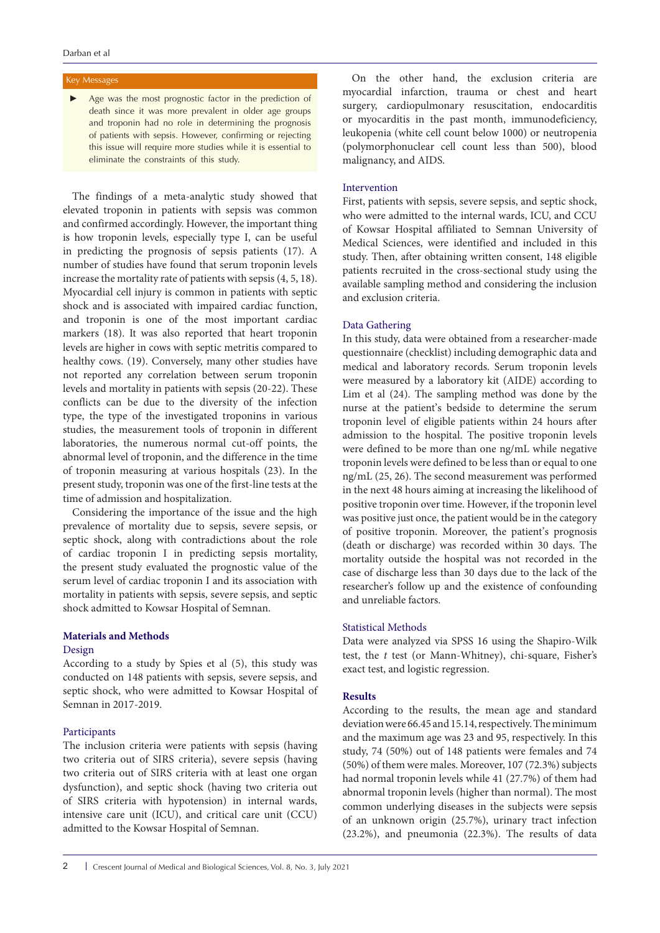# Key Messages

► Age was the most prognostic factor in the prediction of death since it was more prevalent in older age groups and troponin had no role in determining the prognosis of patients with sepsis. However, confirming or rejecting this issue will require more studies while it is essential to eliminate the constraints of this study.

The findings of a meta-analytic study showed that elevated troponin in patients with sepsis was common and confirmed accordingly. However, the important thing is how troponin levels, especially type I, can be useful in predicting the prognosis of sepsis patients (17). A number of studies have found that serum troponin levels increase the mortality rate of patients with sepsis (4, 5, 18). Myocardial cell injury is common in patients with septic shock and is associated with impaired cardiac function, and troponin is one of the most important cardiac markers (18). It was also reported that heart troponin levels are higher in cows with septic metritis compared to healthy cows. (19). Conversely, many other studies have not reported any correlation between serum troponin levels and mortality in patients with sepsis (20-22). These conflicts can be due to the diversity of the infection type, the type of the investigated troponins in various studies, the measurement tools of troponin in different laboratories, the numerous normal cut-off points, the abnormal level of troponin, and the difference in the time of troponin measuring at various hospitals (23). In the present study, troponin was one of the first-line tests at the time of admission and hospitalization.

Considering the importance of the issue and the high prevalence of mortality due to sepsis, severe sepsis, or septic shock, along with contradictions about the role of cardiac troponin I in predicting sepsis mortality, the present study evaluated the prognostic value of the serum level of cardiac troponin I and its association with mortality in patients with sepsis, severe sepsis, and septic shock admitted to Kowsar Hospital of Semnan.

# **Materials and Methods**

#### Design

According to a study by Spies et al (5), this study was conducted on 148 patients with sepsis, severe sepsis, and septic shock, who were admitted to Kowsar Hospital of Semnan in 2017-2019.

### Participants

The inclusion criteria were patients with sepsis (having two criteria out of SIRS criteria), severe sepsis (having two criteria out of SIRS criteria with at least one organ dysfunction), and septic shock (having two criteria out of SIRS criteria with hypotension) in internal wards, intensive care unit (ICU), and critical care unit (CCU) admitted to the Kowsar Hospital of Semnan.

On the other hand, the exclusion criteria are myocardial infarction, trauma or chest and heart surgery, cardiopulmonary resuscitation, endocarditis or myocarditis in the past month, immunodeficiency, leukopenia (white cell count below 1000) or neutropenia (polymorphonuclear cell count less than 500), blood malignancy, and AIDS.

### Intervention

First, patients with sepsis, severe sepsis, and septic shock, who were admitted to the internal wards, ICU, and CCU of Kowsar Hospital affiliated to Semnan University of Medical Sciences, were identified and included in this study. Then, after obtaining written consent, 148 eligible patients recruited in the cross-sectional study using the available sampling method and considering the inclusion and exclusion criteria.

#### Data Gathering

In this study, data were obtained from a researcher-made questionnaire (checklist) including demographic data and medical and laboratory records. Serum troponin levels were measured by a laboratory kit (AIDE) according to Lim et al (24). The sampling method was done by the nurse at the patient's bedside to determine the serum troponin level of eligible patients within 24 hours after admission to the hospital. The positive troponin levels were defined to be more than one ng/mL while negative troponin levels were defined to be less than or equal to one ng/mL (25, 26). The second measurement was performed in the next 48 hours aiming at increasing the likelihood of positive troponin over time. However, if the troponin level was positive just once, the patient would be in the category of positive troponin. Moreover, the patient's prognosis (death or discharge) was recorded within 30 days. The mortality outside the hospital was not recorded in the case of discharge less than 30 days due to the lack of the researcher's follow up and the existence of confounding and unreliable factors.

### Statistical Methods

Data were analyzed via SPSS 16 using the Shapiro-Wilk test, the *t* test (or Mann-Whitney), chi-square, Fisher's exact test, and logistic regression.

# **Results**

According to the results, the mean age and standard deviation were 66.45 and 15.14, respectively.The minimum and the maximum age was 23 and 95, respectively. In this study, 74 (50%) out of 148 patients were females and 74 (50%) of them were males. Moreover, 107 (72.3%) subjects had normal troponin levels while 41 (27.7%) of them had abnormal troponin levels (higher than normal). The most common underlying diseases in the subjects were sepsis of an unknown origin (25.7%), urinary tract infection (23.2%), and pneumonia (22.3%). The results of data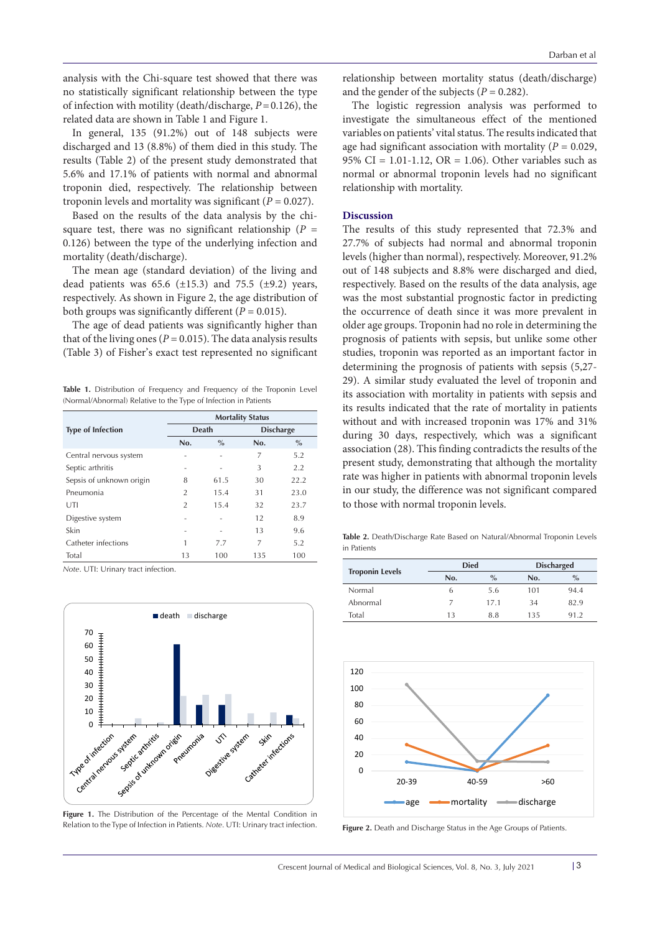analysis with the Chi-square test showed that there was no statistically significant relationship between the type of infection with motility (death/discharge, *P*=0.126), the related data are shown in Table 1 and Figure 1.

In general, 135 (91.2%) out of 148 subjects were discharged and 13 (8.8%) of them died in this study. The results (Table 2) of the present study demonstrated that 5.6% and 17.1% of patients with normal and abnormal troponin died, respectively. The relationship between troponin levels and mortality was significant (*P* = 0.027).

Based on the results of the data analysis by the chisquare test, there was no significant relationship ( $P =$ 0.126) between the type of the underlying infection and mortality (death/discharge).

The mean age (standard deviation) of the living and dead patients was  $65.6$  ( $\pm 15.3$ ) and  $75.5$  ( $\pm 9.2$ ) years, respectively. As shown in Figure 2, the age distribution of both groups was significantly different  $(P = 0.015)$ .

The age of dead patients was significantly higher than that of the living ones ( $P = 0.015$ ). The data analysis results (Table 3) of Fisher's exact test represented no significant

**Table 1.** Distribution of Frequency and Frequency of the Troponin Level (Normal/Abnormal) Relative to the Type of Infection in Patients

|                          | <b>Mortality Status</b> |               |                  |      |
|--------------------------|-------------------------|---------------|------------------|------|
| <b>Type of Infection</b> | Death                   |               | <b>Discharge</b> |      |
|                          | No.                     | $\frac{0}{0}$ | No.              | $\%$ |
| Central nervous system   |                         |               | 7                | 5.2  |
| Septic arthritis         |                         |               | 3                | 2.2  |
| Sepsis of unknown origin | 8                       | 61.5          | 30               | 22.2 |
| Pneumonia                | $\overline{2}$          | 15.4          | 31               | 23.0 |
| UTI                      | $\overline{2}$          | 15.4          | 32               | 23.7 |
| Digestive system         |                         |               | 12               | 8.9  |
| Skin                     |                         |               | 13               | 9.6  |
| Catheter infections      | 1                       | 7.7           | 7                | 5.2  |
| Total                    | 13                      | 100           | 135              | 100  |

*Note*. UTI: Urinary tract infection.



**Figure 1.** The Distribution of the Percentage of the Mental Condition in Relation to the Type of Infection in Patients. Note. UTI: Urinary tract infection. **Figure 2.** Death and Discharge Status in the Age Groups of Patients.

relationship between mortality status (death/discharge) and the gender of the subjects ( $P = 0.282$ ).

The logistic regression analysis was performed to investigate the simultaneous effect of the mentioned variables on patients' vital status. The results indicated that age had significant association with mortality ( $P = 0.029$ , 95% CI =  $1.01 - 1.12$ , OR =  $1.06$ ). Other variables such as normal or abnormal troponin levels had no significant relationship with mortality.

# **Discussion**

The results of this study represented that 72.3% and 27.7% of subjects had normal and abnormal troponin levels (higher than normal), respectively. Moreover, 91.2% out of 148 subjects and 8.8% were discharged and died, respectively. Based on the results of the data analysis, age was the most substantial prognostic factor in predicting the occurrence of death since it was more prevalent in older age groups. Troponin had no role in determining the prognosis of patients with sepsis, but unlike some other studies, troponin was reported as an important factor in determining the prognosis of patients with sepsis (5,27- 29). A similar study evaluated the level of troponin and its association with mortality in patients with sepsis and its results indicated that the rate of mortality in patients without and with increased troponin was 17% and 31% during 30 days, respectively, which was a significant association (28). This finding contradicts the results of the present study, demonstrating that although the mortality rate was higher in patients with abnormal troponin levels in our study, the difference was not significant compared to those with normal troponin levels.

**Table 2.** Death/Discharge Rate Based on Natural/Abnormal Troponin Levels in Patients

| <b>Troponin Levels</b> | <b>Died</b> |      | <b>Discharged</b> |      |
|------------------------|-------------|------|-------------------|------|
|                        | No.         | $\%$ | No.               | $\%$ |
| Normal                 | h           | 5.6  | 101               | 94.4 |
| Abnormal               |             | 17.1 | 34                | 82.9 |
| Total                  | 13          | 8.8  | 135               | 91.2 |

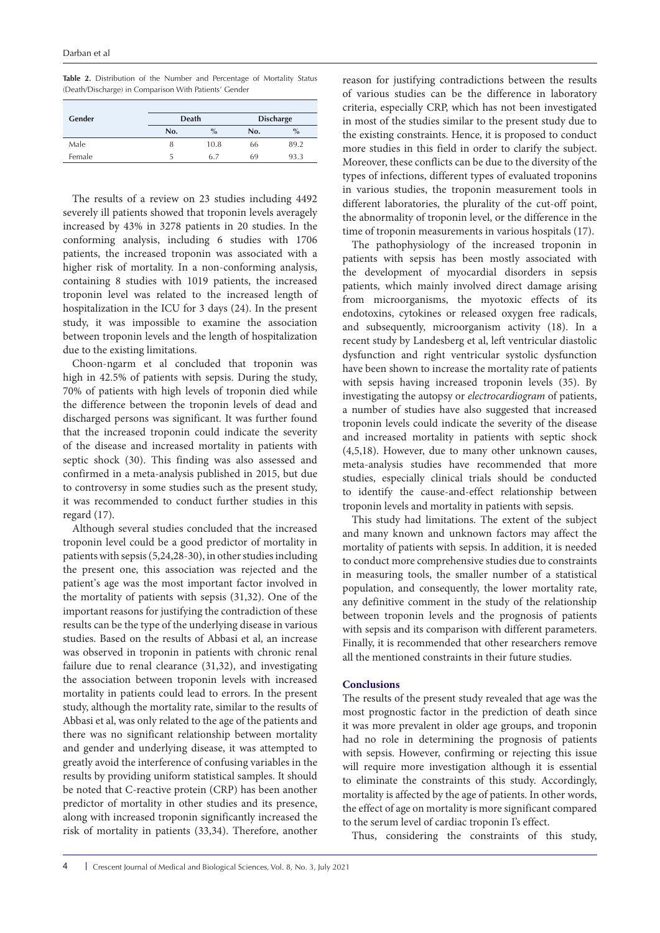**Table 2.** Distribution of the Number and Percentage of Mortality Status (Death/Discharge) in Comparison With Patients' Gender

| Gender |     | Death |     | <b>Discharge</b> |  |
|--------|-----|-------|-----|------------------|--|
|        | No. | $\%$  | No. | $\%$             |  |
| Male   | 8   | 10.8  | 66  | 89.2             |  |
| Female | 5   | 6.7   | 69  | 93.3             |  |

The results of a review on 23 studies including 4492 severely ill patients showed that troponin levels averagely increased by 43% in 3278 patients in 20 studies. In the conforming analysis, including 6 studies with 1706 patients, the increased troponin was associated with a higher risk of mortality. In a non-conforming analysis, containing 8 studies with 1019 patients, the increased troponin level was related to the increased length of hospitalization in the ICU for 3 days (24). In the present study, it was impossible to examine the association between troponin levels and the length of hospitalization due to the existing limitations.

Choon-ngarm et al concluded that troponin was high in 42.5% of patients with sepsis. During the study, 70% of patients with high levels of troponin died while the difference between the troponin levels of dead and discharged persons was significant. It was further found that the increased troponin could indicate the severity of the disease and increased mortality in patients with septic shock (30). This finding was also assessed and confirmed in a meta-analysis published in 2015, but due to controversy in some studies such as the present study, it was recommended to conduct further studies in this regard (17).

Although several studies concluded that the increased troponin level could be a good predictor of mortality in patients with sepsis (5,24,28-30), in other studies including the present one, this association was rejected and the patient's age was the most important factor involved in the mortality of patients with sepsis (31,32). One of the important reasons for justifying the contradiction of these results can be the type of the underlying disease in various studies. Based on the results of Abbasi et al, an increase was observed in troponin in patients with chronic renal failure due to renal clearance (31,32), and investigating the association between troponin levels with increased mortality in patients could lead to errors. In the present study, although the mortality rate, similar to the results of Abbasi et al, was only related to the age of the patients and there was no significant relationship between mortality and gender and underlying disease, it was attempted to greatly avoid the interference of confusing variables in the results by providing uniform statistical samples. It should be noted that C-reactive protein (CRP) has been another predictor of mortality in other studies and its presence, along with increased troponin significantly increased the risk of mortality in patients (33,34). Therefore, another

reason for justifying contradictions between the results of various studies can be the difference in laboratory criteria, especially CRP, which has not been investigated in most of the studies similar to the present study due to the existing constraints. Hence, it is proposed to conduct more studies in this field in order to clarify the subject. Moreover, these conflicts can be due to the diversity of the types of infections, different types of evaluated troponins in various studies, the troponin measurement tools in different laboratories, the plurality of the cut-off point, the abnormality of troponin level, or the difference in the time of troponin measurements in various hospitals (17).

The pathophysiology of the increased troponin in patients with sepsis has been mostly associated with the development of myocardial disorders in sepsis patients, which mainly involved direct damage arising from microorganisms, the myotoxic effects of its endotoxins, cytokines or released oxygen free radicals, and subsequently, microorganism activity (18). In a recent study by Landesberg et al, left ventricular diastolic dysfunction and right ventricular systolic dysfunction have been shown to increase the mortality rate of patients with sepsis having increased troponin levels (35). By investigating the autopsy or *electrocardiogram* of patients, a number of studies have also suggested that increased troponin levels could indicate the severity of the disease and increased mortality in patients with septic shock (4,5,18). However, due to many other unknown causes, meta-analysis studies have recommended that more studies, especially clinical trials should be conducted to identify the cause-and-effect relationship between troponin levels and mortality in patients with sepsis.

This study had limitations. The extent of the subject and many known and unknown factors may affect the mortality of patients with sepsis. In addition, it is needed to conduct more comprehensive studies due to constraints in measuring tools, the smaller number of a statistical population, and consequently, the lower mortality rate, any definitive comment in the study of the relationship between troponin levels and the prognosis of patients with sepsis and its comparison with different parameters. Finally, it is recommended that other researchers remove all the mentioned constraints in their future studies.

# **Conclusions**

The results of the present study revealed that age was the most prognostic factor in the prediction of death since it was more prevalent in older age groups, and troponin had no role in determining the prognosis of patients with sepsis. However, confirming or rejecting this issue will require more investigation although it is essential to eliminate the constraints of this study. Accordingly, mortality is affected by the age of patients. In other words, the effect of age on mortality is more significant compared to the serum level of cardiac troponin I's effect.

Thus, considering the constraints of this study,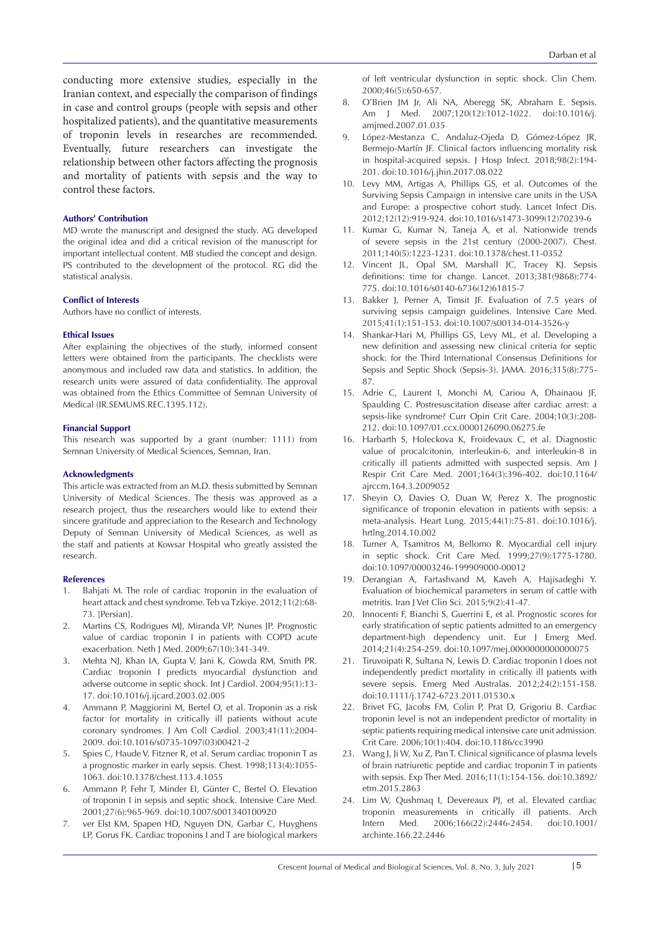conducting more extensive studies, especially in the Iranian context, and especially the comparison of findings in case and control groups (people with sepsis and other hospitalized patients), and the quantitative measurements of troponin levels in researches are recommended. Eventually, future researchers can investigate the relationship between other factors affecting the prognosis and mortality of patients with sepsis and the way to control these factors.

#### **Authors' Contribution**

MD wrote the manuscript and designed the study. AG developed the original idea and did a critical revision of the manuscript for important intellectual content. MB studied the concept and design. PS contributed to the development of the protocol. RG did the statistical analysis.

#### **Conflict of Interests**

Authors have no conflict of interests.

#### **Ethical Issues**

After explaining the objectives of the study, informed consent letters were obtained from the participants. The checklists were anonymous and included raw data and statistics. In addition, the research units were assured of data confidentiality. The approval was obtained from the Ethics Committee of Semnan University of Medical (IR.SEMUMS.REC.1395.112).

#### **Financial Support**

This research was supported by a grant (number: 1111) from Semnan University of Medical Sciences, Semnan, Iran.

#### **Acknowledgments**

This article was extracted from an M.D. thesis submitted by Semnan University of Medical Sciences. The thesis was approved as a research project, thus the researchers would like to extend their sincere gratitude and appreciation to the Research and Technology Deputy of Semnan University of Medical Sciences, as well as the staff and patients at Kowsar Hospital who greatly assisted the research.

#### **References**

- 1. Bahjati M. The role of cardiac troponin in the evaluation of heart attack and chest syndrome. Teb va Tzkiye. 2012;11(2):68- 73. [Persian].
- 2. Martins CS, Rodrigues MJ, Miranda VP, Nunes JP. Prognostic value of cardiac troponin I in patients with COPD acute exacerbation. Neth J Med. 2009;67(10):341-349.
- 3. Mehta NJ, Khan IA, Gupta V, Jani K, Gowda RM, Smith PR. Cardiac troponin I predicts myocardial dysfunction and adverse outcome in septic shock. Int J Cardiol. 2004;95(1):13- 17. doi:10.1016/j.ijcard.2003.02.005
- 4. Ammann P, Maggiorini M, Bertel O, et al. Troponin as a risk factor for mortality in critically ill patients without acute coronary syndromes. J Am Coll Cardiol. 2003;41(11):2004- 2009. doi:10.1016/s0735-1097(03)00421-2
- 5. Spies C, Haude V, Fitzner R, et al. Serum cardiac troponin T as a prognostic marker in early sepsis. Chest. 1998;113(4):1055- 1063. doi:10.1378/chest.113.4.1055
- 6. Ammann P, Fehr T, Minder EI, Günter C, Bertel O. Elevation of troponin I in sepsis and septic shock. Intensive Care Med. 2001;27(6):965-969. doi:10.1007/s001340100920
- 7. ver Elst KM, Spapen HD, Nguyen DN, Garbar C, Huyghens LP, Gorus FK. Cardiac troponins I and T are biological markers

of left ventricular dysfunction in septic shock. Clin Chem. 2000;46(5):650-657.

- 8. O'Brien JM Jr, Ali NA, Aberegg SK, Abraham E. Sepsis. Am J Med. 2007;120(12):1012-1022. doi:10.1016/j. amjmed.2007.01.035
- 9. López-Mestanza C, Andaluz-Ojeda D, Gómez-López JR, Bermejo-Martín JF. Clinical factors influencing mortality risk in hospital-acquired sepsis. J Hosp Infect. 2018;98(2):194- 201. doi:10.1016/j.jhin.2017.08.022
- 10. Levy MM, Artigas A, Phillips GS, et al. Outcomes of the Surviving Sepsis Campaign in intensive care units in the USA and Europe: a prospective cohort study. Lancet Infect Dis. 2012;12(12):919-924. doi:10.1016/s1473-3099(12)70239-6
- 11. Kumar G, Kumar N, Taneja A, et al. Nationwide trends of severe sepsis in the 21st century (2000-2007). Chest. 2011;140(5):1223-1231. doi:10.1378/chest.11-0352
- 12. Vincent JL, Opal SM, Marshall JC, Tracey KJ. Sepsis definitions: time for change. Lancet. 2013;381(9868):774- 775. doi:10.1016/s0140-6736(12)61815-7
- 13. Bakker J, Perner A, Timsit JF. Evaluation of 7.5 years of surviving sepsis campaign guidelines. Intensive Care Med. 2015;41(1):151-153. doi:10.1007/s00134-014-3526-y
- 14. Shankar-Hari M, Phillips GS, Levy ML, et al. Developing a new definition and assessing new clinical criteria for septic shock: for the Third International Consensus Definitions for Sepsis and Septic Shock (Sepsis-3). JAMA. 2016;315(8):775- 87.
- 15. Adrie C, Laurent I, Monchi M, Cariou A, Dhainaou JF, Spaulding C. Postresuscitation disease after cardiac arrest: a sepsis-like syndrome? Curr Opin Crit Care. 2004;10(3):208- 212. doi:10.1097/01.ccx.0000126090.06275.fe
- 16. Harbarth S, Holeckova K, Froidevaux C, et al. Diagnostic value of procalcitonin, interleukin-6, and interleukin-8 in critically ill patients admitted with suspected sepsis. Am J Respir Crit Care Med. 2001;164(3):396-402. doi:10.1164/ ajrccm.164.3.2009052
- 17. Sheyin O, Davies O, Duan W, Perez X. The prognostic significance of troponin elevation in patients with sepsis: a meta-analysis. Heart Lung. 2015;44(1):75-81. doi:10.1016/j. hrtlng.2014.10.002
- 18. Turner A, Tsamitros M, Bellomo R. Myocardial cell injury in septic shock. Crit Care Med. 1999;27(9):1775-1780. doi:10.1097/00003246-199909000-00012
- 19. Derangian A, Fartashvand M, Kaveh A, Hajisadeghi Y. Evaluation of biochemical parameters in serum of cattle with metritis. Iran J Vet Clin Sci. 2015;9(2):41-47.
- 20. Innocenti F, Bianchi S, Guerrini E, et al. Prognostic scores for early stratification of septic patients admitted to an emergency department-high dependency unit. Eur J Emerg Med. 2014;21(4):254-259. doi:10.1097/mej.0000000000000075
- 21. Tiruvoipati R, Sultana N, Lewis D. Cardiac troponin I does not independently predict mortality in critically ill patients with severe sepsis. Emerg Med Australas. 2012;24(2):151-158. doi:10.1111/j.1742-6723.2011.01530.x
- 22. Brivet FG, Jacobs FM, Colin P, Prat D, Grigoriu B. Cardiac troponin level is not an independent predictor of mortality in septic patients requiring medical intensive care unit admission. Crit Care. 2006;10(1):404. doi:10.1186/cc3990
- 23. Wang J, Ji W, Xu Z, Pan T. Clinical significance of plasma levels of brain natriuretic peptide and cardiac troponin T in patients with sepsis. Exp Ther Med. 2016;11(1):154-156. doi:10.3892/ etm.2015.2863
- 24. Lim W, Qushmaq I, Devereaux PJ, et al. Elevated cardiac troponin measurements in critically ill patients. Arch Intern Med. 2006;166(22):2446-2454. doi:10.1001/ archinte.166.22.2446